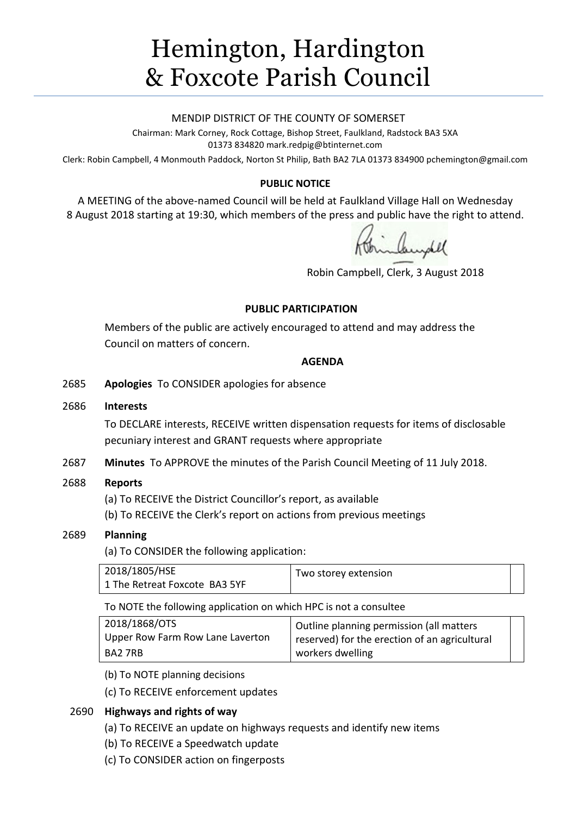# Hemington, Hardington & Foxcote Parish Council

## MENDIP DISTRICT OF THE COUNTY OF SOMERSET

Chairman: Mark Corney, Rock Cottage, Bishop Street, Faulkland, Radstock BA3 5XA 01373 834820 mark.redpig@btinternet.com

Clerk: Robin Campbell, 4 Monmouth Paddock, Norton St Philip, Bath BA2 7LA 01373 834900 [pchemington@gmail.com](mailto:pchemington@gmail.com)

# **PUBLIC NOTICE**

A MEETING of the above-named Council will be held at Faulkland Village Hall on Wednesday 8 August 2018 starting at 19:30, which members of the press and public have the right to attend.

inhundel

Robin Campbell, Clerk, 3 August 2018

## **PUBLIC PARTICIPATION**

Members of the public are actively encouraged to attend and may address the Council on matters of concern.

## **AGENDA**

2685 **Apologies** To CONSIDER apologies for absence

## 2686 **Interests**

To DECLARE interests, RECEIVE written dispensation requests for items of disclosable pecuniary interest and GRANT requests where appropriate

2687 **Minutes** To APPROVE the minutes of the Parish Council Meeting of 11 July 2018.

# 2688 **Reports**

(a) To RECEIVE the District Councillor's report, as available

(b) To RECEIVE the Clerk's report on actions from previous meetings

# 2689 **Planning**

(a) To CONSIDER the following application:

| 2018/1805/HSE                 | Two storey extension |  |
|-------------------------------|----------------------|--|
| 1 The Retreat Foxcote BA3 5YF |                      |  |

To NOTE the following application on which HPC is not a consultee

| 2018/1868/OTS                    | Outline planning permission (all matters      |  |
|----------------------------------|-----------------------------------------------|--|
| Upper Row Farm Row Lane Laverton | reserved) for the erection of an agricultural |  |
| BA2 7RB                          | workers dwelling                              |  |

(b) To NOTE planning decisions

(c) To RECEIVE enforcement updates

# 2690 **Highways and rights of way**

- (a) To RECEIVE an update on highways requests and identify new items
- (b) To RECEIVE a Speedwatch update
- (c) To CONSIDER action on fingerposts